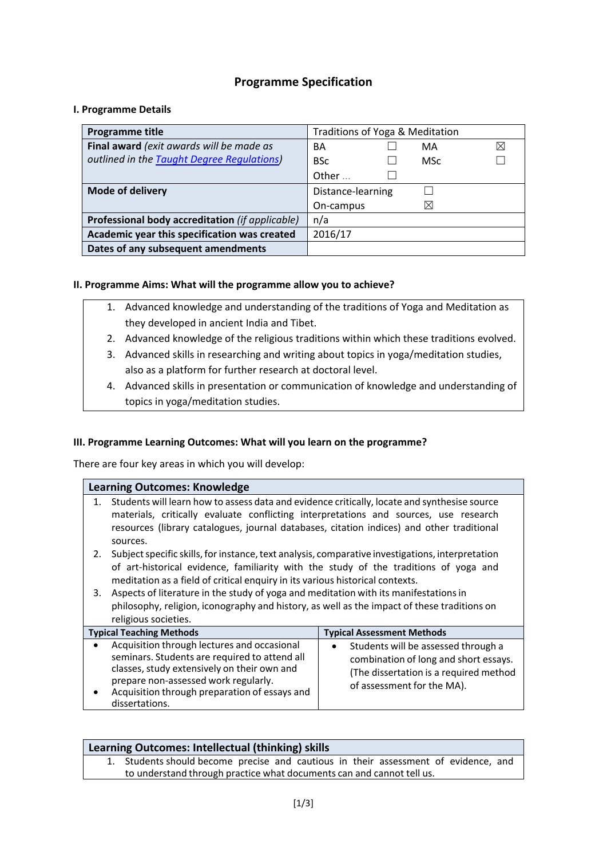# **Programme Specification**

#### **I. Programme Details**

| Programme title                                 | Traditions of Yoga & Meditation |          |   |
|-------------------------------------------------|---------------------------------|----------|---|
| Final award (exit awards will be made as        | BА                              | MA       | ⊠ |
| outlined in the Taught Degree Regulations)      | <b>BSc</b>                      | MSc      |   |
|                                                 | Other                           |          |   |
| <b>Mode of delivery</b>                         | Distance-learning               |          |   |
|                                                 | On-campus                       | $\times$ |   |
| Professional body accreditation (if applicable) | n/a                             |          |   |
| Academic year this specification was created    | 2016/17                         |          |   |
| Dates of any subsequent amendments              |                                 |          |   |

## **II. Programme Aims: What will the programme allow you to achieve?**

- 1. Advanced knowledge and understanding of the traditions of Yoga and Meditation as they developed in ancient India and Tibet.
- 2. Advanced knowledge of the religious traditions within which these traditions evolved.
- 3. Advanced skills in researching and writing about topics in yoga/meditation studies, also as a platform for further research at doctoral level.
- 4. Advanced skills in presentation or communication of knowledge and understanding of topics in yoga/meditation studies.

## **III. Programme Learning Outcomes: What will you learn on the programme?**

There are four key areas in which you will develop:

| <b>Learning Outcomes: Knowledge</b> |                                                                                                                                                                                                                                                                                               |                                                                                                                                                      |  |  |
|-------------------------------------|-----------------------------------------------------------------------------------------------------------------------------------------------------------------------------------------------------------------------------------------------------------------------------------------------|------------------------------------------------------------------------------------------------------------------------------------------------------|--|--|
| 1.                                  | Students will learn how to assess data and evidence critically, locate and synthesise source<br>materials, critically evaluate conflicting interpretations and sources, use research<br>resources (library catalogues, journal databases, citation indices) and other traditional<br>sources. |                                                                                                                                                      |  |  |
| 2.                                  | Subject specific skills, for instance, text analysis, comparative investigations, interpretation<br>of art-historical evidence, familiarity with the study of the traditions of yoga and<br>meditation as a field of critical enquiry in its various historical contexts.                     |                                                                                                                                                      |  |  |
| 3.                                  | Aspects of literature in the study of yoga and meditation with its manifestations in<br>philosophy, religion, iconography and history, as well as the impact of these traditions on<br>religious societies.                                                                                   |                                                                                                                                                      |  |  |
|                                     | <b>Typical Teaching Methods</b>                                                                                                                                                                                                                                                               | <b>Typical Assessment Methods</b>                                                                                                                    |  |  |
|                                     | Acquisition through lectures and occasional<br>seminars. Students are required to attend all<br>classes, study extensively on their own and<br>prepare non-assessed work regularly.<br>Acquisition through preparation of essays and<br>dissertations.                                        | Students will be assessed through a<br>combination of long and short essays.<br>(The dissertation is a required method<br>of assessment for the MA). |  |  |

| Learning Outcomes: Intellectual (thinking) skills |                                                                                                                                                              |  |
|---------------------------------------------------|--------------------------------------------------------------------------------------------------------------------------------------------------------------|--|
|                                                   | 1. Students should become precise and cautious in their assessment of evidence, and<br>to understand through practice what documents can and cannot tell us. |  |
|                                                   |                                                                                                                                                              |  |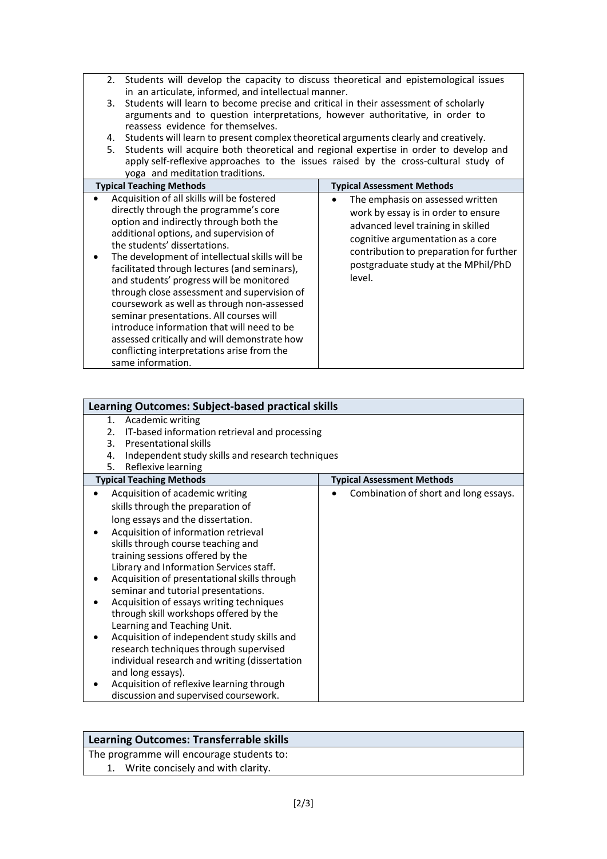- 2. Students will develop the capacity to discuss theoretical and epistemological issues in an articulate, informed, and intellectual manner.
- 3. Students will learn to become precise and critical in their assessment of scholarly arguments and to question interpretations, however authoritative, in order to reassess evidence for themselves.
- 4. Students will learn to present complex theoretical arguments clearly and creatively.
- 5. Students will acquire both theoretical and regional expertise in order to develop and apply self-reflexive approaches to the issues raised by the cross-cultural study of yoga and meditation traditions.

| <b>Typical Teaching Methods</b>                                                                                                                                                                                                                                                                                                                                                                                                                                                                                                                                                                                                                                | <b>Typical Assessment Methods</b>                                                                                                                                                                                                              |
|----------------------------------------------------------------------------------------------------------------------------------------------------------------------------------------------------------------------------------------------------------------------------------------------------------------------------------------------------------------------------------------------------------------------------------------------------------------------------------------------------------------------------------------------------------------------------------------------------------------------------------------------------------------|------------------------------------------------------------------------------------------------------------------------------------------------------------------------------------------------------------------------------------------------|
| Acquisition of all skills will be fostered<br>directly through the programme's core<br>option and indirectly through both the<br>additional options, and supervision of<br>the students' dissertations.<br>The development of intellectual skills will be<br>facilitated through lectures (and seminars),<br>and students' progress will be monitored<br>through close assessment and supervision of<br>coursework as well as through non-assessed<br>seminar presentations. All courses will<br>introduce information that will need to be<br>assessed critically and will demonstrate how<br>conflicting interpretations arise from the<br>same information. | The emphasis on assessed written<br>work by essay is in order to ensure<br>advanced level training in skilled<br>cognitive argumentation as a core<br>contribution to preparation for further<br>postgraduate study at the MPhil/PhD<br>level. |

| <b>Learning Outcomes: Subject-based practical skills</b>                                                                                                                                                                                                                                                                                                                                                                                                                                                                                                                                                                                                                                                                                |                                       |  |
|-----------------------------------------------------------------------------------------------------------------------------------------------------------------------------------------------------------------------------------------------------------------------------------------------------------------------------------------------------------------------------------------------------------------------------------------------------------------------------------------------------------------------------------------------------------------------------------------------------------------------------------------------------------------------------------------------------------------------------------------|---------------------------------------|--|
| 1. Academic writing<br>IT-based information retrieval and processing<br>2.<br>Presentational skills<br>3.                                                                                                                                                                                                                                                                                                                                                                                                                                                                                                                                                                                                                               |                                       |  |
| Independent study skills and research techniques<br>4.<br>Reflexive learning<br>5.                                                                                                                                                                                                                                                                                                                                                                                                                                                                                                                                                                                                                                                      |                                       |  |
| <b>Typical Teaching Methods</b>                                                                                                                                                                                                                                                                                                                                                                                                                                                                                                                                                                                                                                                                                                         | <b>Typical Assessment Methods</b>     |  |
| Acquisition of academic writing<br>skills through the preparation of<br>long essays and the dissertation.<br>Acquisition of information retrieval<br>skills through course teaching and<br>training sessions offered by the<br>Library and Information Services staff.<br>Acquisition of presentational skills through<br>seminar and tutorial presentations.<br>Acquisition of essays writing techniques<br>through skill workshops offered by the<br>Learning and Teaching Unit.<br>Acquisition of independent study skills and<br>research techniques through supervised<br>individual research and writing (dissertation<br>and long essays).<br>Acquisition of reflexive learning through<br>discussion and supervised coursework. | Combination of short and long essays. |  |

## **Learning Outcomes: Transferrable skills**

The programme will encourage students to:

1. Write concisely and with clarity.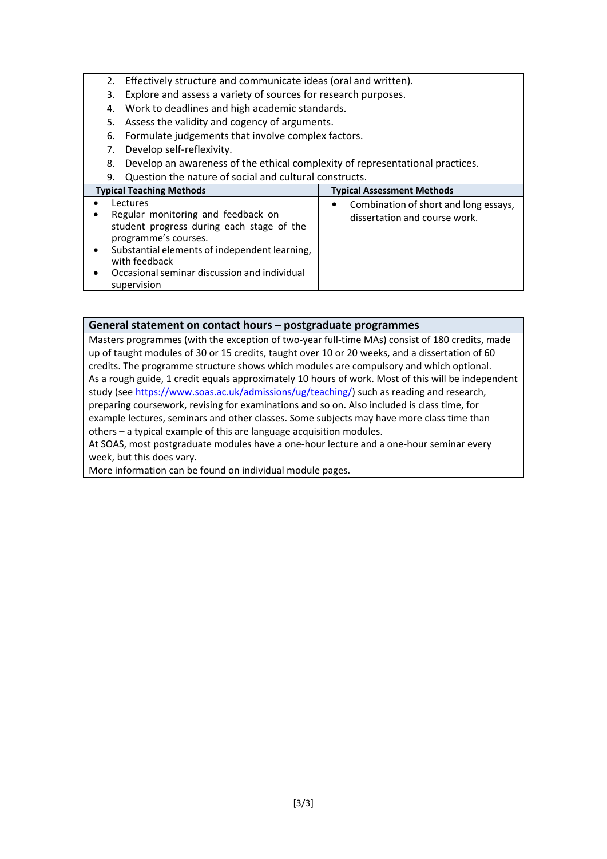- 2. Effectively structure and communicate ideas (oral and written).
- 3. Explore and assess a variety of sources for research purposes.
- 4. Work to deadlines and high academic standards.
- 5. Assess the validity and cogency of arguments.
- 6. Formulate judgements that involve complex factors.
- 7. Develop self-reflexivity.
- 8. Develop an awareness of the ethical complexity of representational practices.
- 9. Question the nature of social and cultural constructs.

| <b>Typical Teaching Methods</b>                                                                                                                                                                                                                      | <b>Typical Assessment Methods</b>                                           |
|------------------------------------------------------------------------------------------------------------------------------------------------------------------------------------------------------------------------------------------------------|-----------------------------------------------------------------------------|
| Lectures<br>Regular monitoring and feedback on<br>student progress during each stage of the<br>programme's courses.<br>Substantial elements of independent learning,<br>with feedback<br>Occasional seminar discussion and individual<br>supervision | Combination of short and long essays,<br>٠<br>dissertation and course work. |

#### **General statement on contact hours – postgraduate programmes**

Masters programmes (with the exception of two-year full-time MAs) consist of 180 credits, made up of taught modules of 30 or 15 credits, taught over 10 or 20 weeks, and a dissertation of 60 credits. The programme structure shows which modules are compulsory and which optional. As a rough guide, 1 credit equals approximately 10 hours of work. Most of this will be independent study (see [https://www.soas.ac.uk/admissions/ug/teaching/\)](https://www.soas.ac.uk/admissions/ug/teaching/) such as reading and research, preparing coursework, revising for examinations and so on. Also included is class time, for example lectures, seminars and other classes. Some subjects may have more class time than others – a typical example of this are language acquisition modules.

At SOAS, most postgraduate modules have a one-hour lecture and a one-hour seminar every week, but this does vary.

More information can be found on individual module pages.